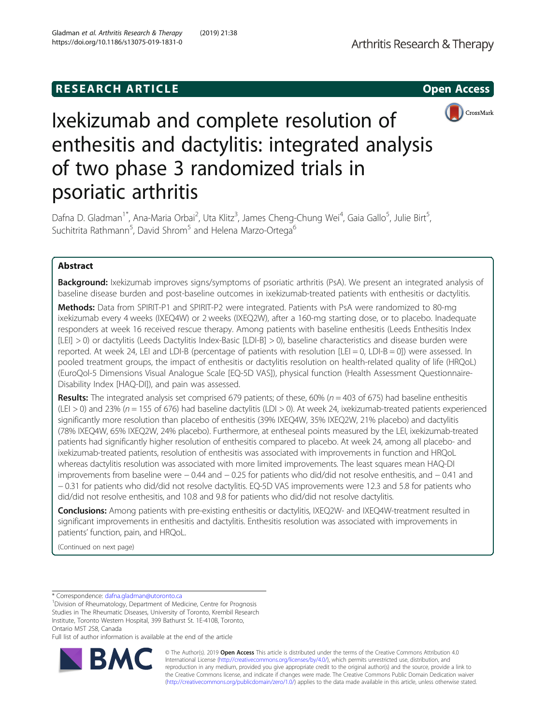# **RESEARCH ARTICLE Example 2014 CONSIDERING CONSIDERING CONSIDERING CONSIDERING CONSIDERING CONSIDERING CONSIDERING CONSIDERING CONSIDERING CONSIDERING CONSIDERING CONSIDERING CONSIDERING CONSIDERING CONSIDERING CONSIDE**





# Ixekizumab and complete resolution of enthesitis and dactylitis: integrated analysis of two phase 3 randomized trials in psoriatic arthritis

Dafna D. Gladman<sup>1\*</sup>, Ana-Maria Orbai<sup>2</sup>, Uta Klitz<sup>3</sup>, James Cheng-Chung Wei<sup>4</sup>, Gaia Gallo<sup>5</sup>, Julie Birt<sup>5</sup> , Suchitrita Rathmann<sup>5</sup>, David Shrom<sup>5</sup> and Helena Marzo-Ortega<sup>6</sup>

# Abstract

**Background:** Ixekizumab improves signs/symptoms of psoriatic arthritis (PsA). We present an integrated analysis of baseline disease burden and post-baseline outcomes in ixekizumab-treated patients with enthesitis or dactylitis.

Methods: Data from SPIRIT-P1 and SPIRIT-P2 were integrated. Patients with PsA were randomized to 80-mg ixekizumab every 4 weeks (IXEQ4W) or 2 weeks (IXEQ2W), after a 160-mg starting dose, or to placebo. Inadequate responders at week 16 received rescue therapy. Among patients with baseline enthesitis (Leeds Enthesitis Index [LEI] > 0) or dactylitis (Leeds Dactylitis Index-Basic [LDI-B] > 0), baseline characteristics and disease burden were reported. At week 24, LEI and LDI-B (percentage of patients with resolution [LEI = 0, LDI-B = 0]) were assessed. In pooled treatment groups, the impact of enthesitis or dactylitis resolution on health-related quality of life (HRQoL) (EuroQol-5 Dimensions Visual Analogue Scale [EQ-5D VAS]), physical function (Health Assessment Questionnaire-Disability Index [HAQ-DI]), and pain was assessed.

**Results:** The integrated analysis set comprised 679 patients; of these, 60% ( $n = 403$  of 675) had baseline enthesitis (LEI > 0) and 23% ( $n = 155$  of 676) had baseline dactylitis (LDI > 0). At week 24, ixekizumab-treated patients experienced significantly more resolution than placebo of enthesitis (39% IXEQ4W, 35% IXEQ2W, 21% placebo) and dactylitis (78% IXEQ4W, 65% IXEQ2W, 24% placebo). Furthermore, at entheseal points measured by the LEI, ixekizumab-treated patients had significantly higher resolution of enthesitis compared to placebo. At week 24, among all placebo- and ixekizumab-treated patients, resolution of enthesitis was associated with improvements in function and HRQoL whereas dactylitis resolution was associated with more limited improvements. The least squares mean HAQ-DI improvements from baseline were − 0.44 and − 0.25 for patients who did/did not resolve enthesitis, and − 0.41 and − 0.31 for patients who did/did not resolve dactylitis. EQ-5D VAS improvements were 12.3 and 5.8 for patients who did/did not resolve enthesitis, and 10.8 and 9.8 for patients who did/did not resolve dactylitis.

Conclusions: Among patients with pre-existing enthesitis or dactylitis, IXEQ2W- and IXEQ4W-treatment resulted in significant improvements in enthesitis and dactylitis. Enthesitis resolution was associated with improvements in patients' function, pain, and HRQoL.

(Continued on next page)

\* Correspondence: [dafna.gladman@utoronto.ca](mailto:dafna.gladman@utoronto.ca) <sup>1</sup>

<sup>1</sup> Division of Rheumatology, Department of Medicine, Centre for Prognosis Studies in The Rheumatic Diseases, University of Toronto, Krembil Research Institute, Toronto Western Hospital, 399 Bathurst St. 1E-410B, Toronto,

Ontario M5T 2S8, Canada

Full list of author information is available at the end of the article



© The Author(s). 2019 **Open Access** This article is distributed under the terms of the Creative Commons Attribution 4.0 International License [\(http://creativecommons.org/licenses/by/4.0/](http://creativecommons.org/licenses/by/4.0/)), which permits unrestricted use, distribution, and reproduction in any medium, provided you give appropriate credit to the original author(s) and the source, provide a link to the Creative Commons license, and indicate if changes were made. The Creative Commons Public Domain Dedication waiver [\(http://creativecommons.org/publicdomain/zero/1.0/](http://creativecommons.org/publicdomain/zero/1.0/)) applies to the data made available in this article, unless otherwise stated.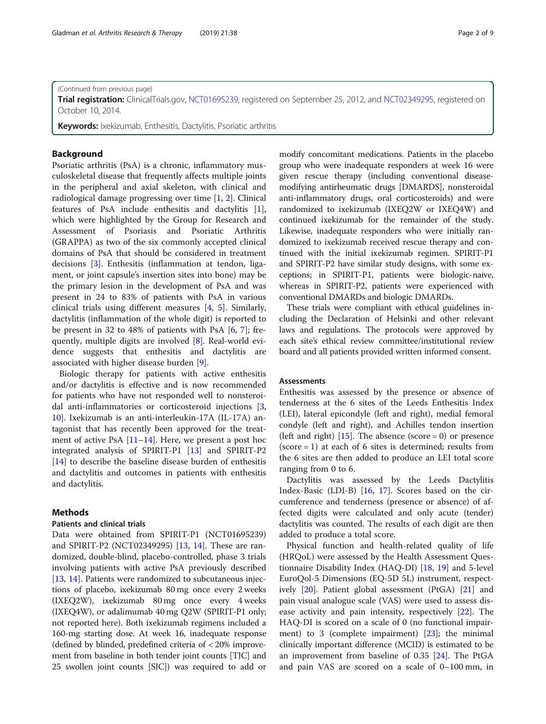Gladman et al. Arthritis Research & Therapy (2019) 21:38 Page 2 of 9

(Continued from previous page)

Trial registration: ClinicalTrials.gov, [NCT01695239,](https://clinicaltrials.gov/ct2/show/NCT01695239) registered on September 25, 2012, and [NCT02349295,](https://clinicaltrials.gov/ct2/show/NCT02349295) registered on October 10, 2014.

Keywords: Ixekizumab, Enthesitis, Dactylitis, Psoriatic arthritis

# Background

Psoriatic arthritis (PsA) is a chronic, inflammatory musculoskeletal disease that frequently affects multiple joints in the peripheral and axial skeleton, with clinical and radiological damage progressing over time [\[1](#page-7-0), [2](#page-7-0)]. Clinical features of PsA include enthesitis and dactylitis [\[1](#page-7-0)], which were highlighted by the Group for Research and Assessment of Psoriasis and Psoriatic Arthritis (GRAPPA) as two of the six commonly accepted clinical domains of PsA that should be considered in treatment decisions [\[3\]](#page-7-0). Enthesitis (inflammation at tendon, ligament, or joint capsule's insertion sites into bone) may be the primary lesion in the development of PsA and was present in 24 to 83% of patients with PsA in various clinical trials using different measures [\[4,](#page-7-0) [5\]](#page-7-0). Similarly, dactylitis (inflammation of the whole digit) is reported to be present in 32 to 48% of patients with PsA [[6,](#page-7-0) [7](#page-7-0)]; frequently, multiple digits are involved [[8](#page-7-0)]. Real-world evidence suggests that enthesitis and dactylitis are associated with higher disease burden [[9](#page-7-0)].

Biologic therapy for patients with active enthesitis and/or dactylitis is effective and is now recommended for patients who have not responded well to nonsteroidal anti-inflammatories or corticosteroid injections [\[3](#page-7-0), [10\]](#page-7-0). Ixekizumab is an anti-interleukin-17A (IL-17A) antagonist that has recently been approved for the treatment of active PsA  $[11–14]$  $[11–14]$  $[11–14]$  $[11–14]$ . Here, we present a post hoc integrated analysis of SPIRIT-P1 [\[13](#page-7-0)] and SPIRIT-P2 [[14\]](#page-7-0) to describe the baseline disease burden of enthesitis and dactylitis and outcomes in patients with enthesitis and dactylitis.

# Methods

# Patients and clinical trials

Data were obtained from SPIRIT-P1 (NCT01695239) and SPIRIT-P2 (NCT02349295) [\[13](#page-7-0), [14\]](#page-7-0). These are randomized, double-blind, placebo-controlled, phase 3 trials involving patients with active PsA previously described [[13,](#page-7-0) [14\]](#page-7-0). Patients were randomized to subcutaneous injections of placebo, ixekizumab 80 mg once every 2 weeks (IXEQ2W), ixekizumab 80 mg once every 4 weeks (IXEQ4W), or adalimumab 40 mg Q2W (SPIRIT-P1 only; not reported here). Both ixekizumab regimens included a 160-mg starting dose. At week 16, inadequate response (defined by blinded, predefined criteria of  $<$  20% improvement from baseline in both tender joint counts [TJC] and 25 swollen joint counts [SJC]) was required to add or

modify concomitant medications. Patients in the placebo group who were inadequate responders at week 16 were given rescue therapy (including conventional diseasemodifying antirheumatic drugs [DMARDS], nonsteroidal anti-inflammatory drugs, oral corticosteroids) and were randomized to ixekizumab (IXEQ2W or IXEQ4W) and continued ixekizumab for the remainder of the study. Likewise, inadequate responders who were initially randomized to ixekizumab received rescue therapy and continued with the initial ixekizumab regimen. SPIRIT-P1 and SPIRIT-P2 have similar study designs, with some exceptions; in SPIRIT-P1, patients were biologic-naive, whereas in SPIRIT-P2, patients were experienced with conventional DMARDs and biologic DMARDs.

These trials were compliant with ethical guidelines including the Declaration of Helsinki and other relevant laws and regulations. The protocols were approved by each site's ethical review committee/institutional review board and all patients provided written informed consent.

# Assessments

Enthesitis was assessed by the presence or absence of tenderness at the 6 sites of the Leeds Enthesitis Index (LEI), lateral epicondyle (left and right), medial femoral condyle (left and right), and Achilles tendon insertion (left and right)  $[15]$  $[15]$ . The absence (score = 0) or presence (score = 1) at each of 6 sites is determined; results from the 6 sites are then added to produce an LEI total score ranging from 0 to 6.

Dactylitis was assessed by the Leeds Dactylitis Index-Basic (LDI-B) [[16,](#page-8-0) [17](#page-8-0)]. Scores based on the circumference and tenderness (presence or absence) of affected digits were calculated and only acute (tender) dactylitis was counted. The results of each digit are then added to produce a total score.

Physical function and health-related quality of life (HRQoL) were assessed by the Health Assessment Questionnaire Disability Index (HAQ-DI) [[18,](#page-8-0) [19\]](#page-8-0) and 5-level EuroQol-5 Dimensions (EQ-5D 5L) instrument, respectively [[20\]](#page-8-0). Patient global assessment (PtGA) [\[21\]](#page-8-0) and pain visual analogue scale (VAS) were used to assess disease activity and pain intensity, respectively [\[22\]](#page-8-0). The HAQ-DI is scored on a scale of 0 (no functional impairment) to 3 (complete impairment) [\[23](#page-8-0)]; the minimal clinically important difference (MCID) is estimated to be an improvement from baseline of 0.35 [[24\]](#page-8-0). The PtGA and pain VAS are scored on a scale of 0–100 mm, in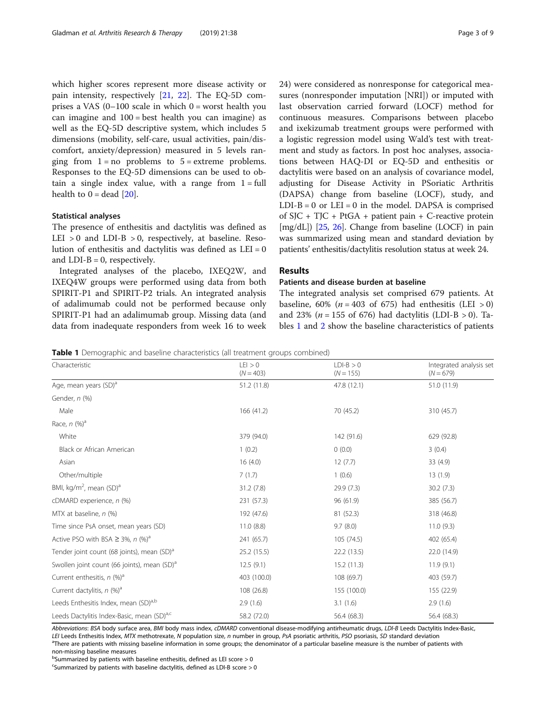<span id="page-2-0"></span>which higher scores represent more disease activity or pain intensity, respectively [\[21,](#page-8-0) [22\]](#page-8-0). The EQ-5D comprises a VAS  $(0-100 \text{ scale in which } 0 = \text{worst health you})$ can imagine and  $100 = best$  health you can imagine) as well as the EQ-5D descriptive system, which includes 5 dimensions (mobility, self-care, usual activities, pain/discomfort, anxiety/depression) measured in 5 levels ranging from  $1 = no$  problems to  $5 =$  extreme problems. Responses to the EQ-5D dimensions can be used to obtain a single index value, with a range from  $1 = full$ health to  $0 =$  dead  $[20]$  $[20]$ .

# Statistical analyses

The presence of enthesitis and dactylitis was defined as LEI  $> 0$  and LDI-B  $> 0$ , respectively, at baseline. Resolution of enthesitis and dactylitis was defined as  $LEI = 0$ and  $LDI-B = 0$ , respectively.

Integrated analyses of the placebo, IXEQ2W, and IXEQ4W groups were performed using data from both SPIRIT-P1 and SPIRIT-P2 trials. An integrated analysis of adalimumab could not be performed because only SPIRIT-P1 had an adalimumab group. Missing data (and data from inadequate responders from week 16 to week 24) were considered as nonresponse for categorical measures (nonresponder imputation [NRI]) or imputed with last observation carried forward (LOCF) method for continuous measures. Comparisons between placebo and ixekizumab treatment groups were performed with a logistic regression model using Wald's test with treatment and study as factors. In post hoc analyses, associations between HAQ-DI or EQ-5D and enthesitis or dactylitis were based on an analysis of covariance model, adjusting for Disease Activity in PSoriatic Arthritis (DAPSA) change from baseline (LOCF), study, and  $LDI-B = 0$  or  $LEI = 0$  in the model. DAPSA is comprised of  $SJC + TJC + PtGA + patient pain + C-reactive protein$ [mg/dL]) [[25](#page-8-0), [26\]](#page-8-0). Change from baseline (LOCF) in pain was summarized using mean and standard deviation by patients' enthesitis/dactylitis resolution status at week 24.

#### Results

## Patients and disease burden at baseline

The integrated analysis set comprised 679 patients. At baseline, 60% ( $n = 403$  of 675) had enthesitis (LEI > 0) and 23% ( $n = 155$  of 676) had dactylitis (LDI-B  $> 0$ ). Tables 1 and [2](#page-3-0) show the baseline characteristics of patients

Table 1 Demographic and baseline characteristics (all treatment groups combined)

| Characteristic                                          | LEI > 0<br>$(N = 403)$ | $LDI-B > 0$<br>$(N = 155)$ | Integrated analysis set<br>$(N = 679)$ |
|---------------------------------------------------------|------------------------|----------------------------|----------------------------------------|
| Age, mean years (SD) <sup>a</sup>                       | 51.2 (11.8)            | 47.8 (12.1)                | 51.0 (11.9)                            |
| Gender, n (%)                                           |                        |                            |                                        |
| Male                                                    | 166(41.2)              | 70 (45.2)                  | 310 (45.7)                             |
| Race, $n$ $(\%)^a$                                      |                        |                            |                                        |
| White                                                   | 379 (94.0)             | 142 (91.6)                 | 629 (92.8)                             |
| Black or African American                               | 1(0.2)                 | 0(0.0)                     | 3(0.4)                                 |
| Asian                                                   | 16(4.0)                | 12(7.7)                    | 33 (4.9)                               |
| Other/multiple                                          | 7(1.7)                 | 1(0.6)                     | 13(1.9)                                |
| BMI, kg/m <sup>2</sup> , mean $(SD)^a$                  | 31.2(7.8)              | 29.9(7.3)                  | 30.2(7.3)                              |
| cDMARD experience, n (%)                                | 231 (57.3)             | 96 (61.9)                  | 385 (56.7)                             |
| MTX at baseline, n (%)                                  | 192 (47.6)             | 81 (52.3)                  | 318 (46.8)                             |
| Time since PsA onset, mean years (SD)                   | 11.0(8.8)              | 9.7(8.0)                   | 11.0(9.3)                              |
| Active PSO with BSA $\geq$ 3%, n (%) <sup>a</sup>       | 241 (65.7)             | 105 (74.5)                 | 402 (65.4)                             |
| Tender joint count (68 joints), mean (SD) <sup>a</sup>  | 25.2 (15.5)            | 22.2 (13.5)                | 22.0 (14.9)                            |
| Swollen joint count (66 joints), mean (SD) <sup>a</sup> | 12.5(9.1)              | 15.2 (11.3)                | 11.9(9.1)                              |
| Current enthesitis, $n$ (%) <sup>a</sup>                | 403 (100.0)            | 108 (69.7)                 | 403 (59.7)                             |
| Current dactylitis, n (%) <sup>a</sup>                  | 108 (26.8)             | 155 (100.0)                | 155 (22.9)                             |
| Leeds Enthesitis Index, mean (SD) <sup>a,b</sup>        | 2.9(1.6)               | 3.1(1.6)                   | 2.9(1.6)                               |
| Leeds Dactylitis Index-Basic, mean (SD) <sup>a,c</sup>  | 58.2 (72.0)            | 56.4 (68.3)                | 56.4 (68.3)                            |

Abbreviations: BSA body surface area, BMI body mass index, cDMARD conventional disease-modifying antirheumatic drugs, LDI-B Leeds Dactylitis Index-Basic, LEI Leeds Enthesitis Index, MTX methotrexate, N population size, n number in group, PsA psoriatic arthritis, PSO psoriasis, SD standard deviation

<sup>a</sup>There are patients with missing baseline information in some groups; the denominator of a particular baseline measure is the number of patients with non-missing baseline measures

<sup>b</sup>Summarized by patients with baseline enthesitis, defined as LEI score > 0

<sup>c</sup>Summarized by patients with baseline dactylitis, defined as LDI-B score > 0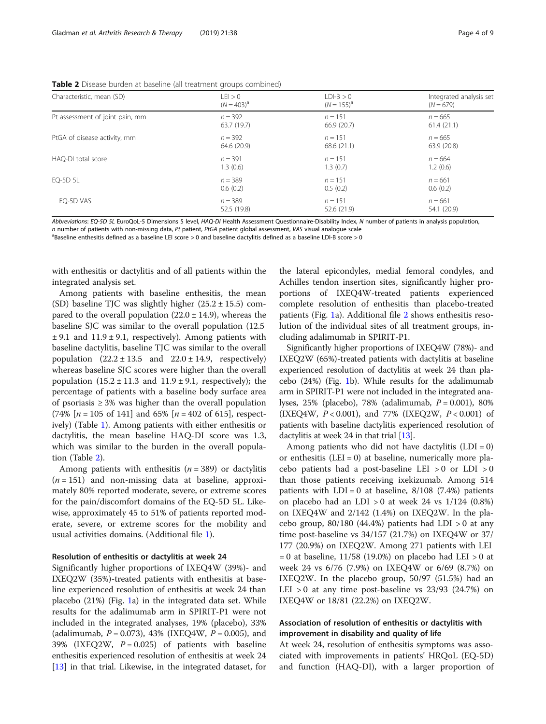| Characteristic, mean (SD)       | LEI > 0         | $LDI-B > 0$     | Integrated analysis set |
|---------------------------------|-----------------|-----------------|-------------------------|
|                                 | $(N = 403)^{a}$ | $(N = 155)^{a}$ | $(N = 679)$             |
| Pt assessment of joint pain, mm | $n = 392$       | $n = 151$       | $n = 665$               |
|                                 | 63.7 (19.7)     | 66.9 (20.7)     | 61.4(21.1)              |
| PtGA of disease activity, mm    | $n = 392$       | $n = 151$       | $n = 665$               |
|                                 | 64.6 (20.9)     | 68.6 (21.1)     | 63.9 (20.8)             |
| HAO-DI total score              | $n = 391$       | $n = 151$       | $n = 664$               |
|                                 | 1.3(0.6)        | 1.3(0.7)        | 1.2(0.6)                |
| EO-5D 5L                        | $n = 389$       | $n = 151$       | $n = 661$               |
|                                 | 0.6(0.2)        | 0.5(0.2)        | 0.6(0.2)                |
| EO-5D VAS                       | $n = 389$       | $n = 151$       | $n = 661$               |
|                                 | 52.5 (19.8)     | 52.6 (21.9)     | 54.1 (20.9)             |

<span id="page-3-0"></span>Table 2 Disease burden at baseline (all treatment groups combined)

Abbreviations: EQ-5D 5L EuroQoL-5 Dimensions 5 level, HAQ-DI Health Assessment Questionnaire-Disability Index, N number of patients in analysis population,  $n$  number of patients with non-missing data, Pt patient, PtGA patient global assessment, VAS visual analogue scale

 $B$ aseline enthesitis defined as a baseline LEI score > 0 and baseline dactylitis defined as a baseline LDI-B score > 0

with enthesitis or dactylitis and of all patients within the integrated analysis set.

Among patients with baseline enthesitis, the mean (SD) baseline TJC was slightly higher  $(25.2 \pm 15.5)$  compared to the overall population  $(22.0 \pm 14.9)$ , whereas the baseline SJC was similar to the overall population (12.5  $\pm$  9.1 and 11.9  $\pm$  9.1, respectively). Among patients with baseline dactylitis, baseline TJC was similar to the overall population  $(22.2 \pm 13.5 \text{ and } 22.0 \pm 14.9, \text{respectively})$ whereas baseline SJC scores were higher than the overall population  $(15.2 \pm 11.3 \text{ and } 11.9 \pm 9.1, \text{ respectively})$ ; the percentage of patients with a baseline body surface area of psoriasis  $\geq 3\%$  was higher than the overall population  $(74\%$  [n = 105 of 141] and 65% [n = 402 of 615], respectively) (Table [1\)](#page-2-0). Among patients with either enthesitis or dactylitis, the mean baseline HAQ-DI score was 1.3, which was similar to the burden in the overall population (Table 2).

Among patients with enthesitis ( $n = 389$ ) or dactylitis  $(n = 151)$  and non-missing data at baseline, approximately 80% reported moderate, severe, or extreme scores for the pain/discomfort domains of the EQ-5D 5L. Likewise, approximately 45 to 51% of patients reported moderate, severe, or extreme scores for the mobility and usual activities domains. (Additional file [1\)](#page-6-0).

#### Resolution of enthesitis or dactylitis at week 24

Significantly higher proportions of IXEQ4W (39%)- and IXEQ2W (35%)-treated patients with enthesitis at baseline experienced resolution of enthesitis at week 24 than placebo (21%) (Fig. [1](#page-4-0)a) in the integrated data set. While results for the adalimumab arm in SPIRIT-P1 were not included in the integrated analyses, 19% (placebo), 33% (adalimumab,  $P = 0.073$ ), 43% (IXEQ4W,  $P = 0.005$ ), and 39% (IXEQ2W,  $P = 0.025$ ) of patients with baseline enthesitis experienced resolution of enthesitis at week 24 [[13\]](#page-7-0) in that trial. Likewise, in the integrated dataset, for

the lateral epicondyles, medial femoral condyles, and Achilles tendon insertion sites, significantly higher proportions of IXEQ4W-treated patients experienced complete resolution of enthesitis than placebo-treated patients (Fig. [1a](#page-4-0)). Additional file [2](#page-6-0) shows enthesitis resolution of the individual sites of all treatment groups, including adalimumab in SPIRIT-P1.

Significantly higher proportions of IXEQ4W (78%)- and IXEQ2W (65%)-treated patients with dactylitis at baseline experienced resolution of dactylitis at week 24 than placebo (24%) (Fig. [1b](#page-4-0)). While results for the adalimumab arm in SPIRIT-P1 were not included in the integrated analyses, 25% (placebo), 78% (adalimumab,  $P = 0.001$ ), 80% (IXEQ4W,  $P < 0.001$ ), and 77% (IXEQ2W,  $P < 0.001$ ) of patients with baseline dactylitis experienced resolution of dactylitis at week 24 in that trial [\[13\]](#page-7-0).

Among patients who did not have dactylitis  $(LDI = 0)$ or enthesitis  $(LEI = 0)$  at baseline, numerically more placebo patients had a post-baseline LEI  $>0$  or LDI  $>0$ than those patients receiving ixekizumab. Among 514 patients with  $LDI = 0$  at baseline,  $8/108$  (7.4%) patients on placebo had an LDI  $> 0$  at week 24 vs  $1/124$  (0.8%) on IXEQ4W and 2/142 (1.4%) on IXEQ2W. In the placebo group,  $80/180$  (44.4%) patients had LDI  $> 0$  at any time post-baseline vs 34/157 (21.7%) on IXEQ4W or 37/ 177 (20.9%) on IXEQ2W. Among 271 patients with LEI  $= 0$  at baseline, 11/58 (19.0%) on placebo had LEI  $> 0$  at week 24 vs 6/76 (7.9%) on IXEQ4W or 6/69 (8.7%) on IXEQ2W. In the placebo group, 50/97 (51.5%) had an LEI  $> 0$  at any time post-baseline vs 23/93 (24.7%) on IXEQ4W or 18/81 (22.2%) on IXEQ2W.

# Association of resolution of enthesitis or dactylitis with improvement in disability and quality of life

At week 24, resolution of enthesitis symptoms was associated with improvements in patients' HRQoL (EQ-5D) and function (HAQ-DI), with a larger proportion of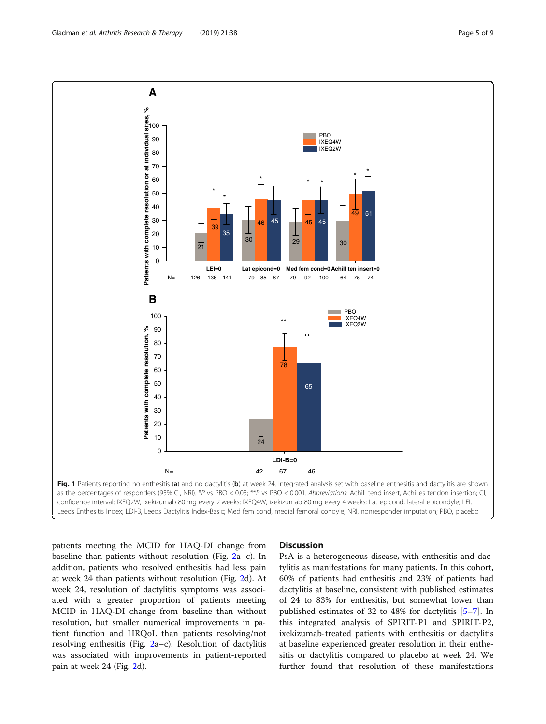<span id="page-4-0"></span>

patients meeting the MCID for HAQ-DI change from baseline than patients without resolution (Fig. [2](#page-5-0)a–c). In addition, patients who resolved enthesitis had less pain at week 24 than patients without resolution (Fig. [2d](#page-5-0)). At week 24, resolution of dactylitis symptoms was associated with a greater proportion of patients meeting MCID in HAQ-DI change from baseline than without resolution, but smaller numerical improvements in patient function and HRQoL than patients resolving/not resolving enthesitis (Fig. [2a](#page-5-0)–c). Resolution of dactylitis was associated with improvements in patient-reported pain at week 24 (Fig. [2](#page-5-0)d).

# **Discussion**

PsA is a heterogeneous disease, with enthesitis and dactylitis as manifestations for many patients. In this cohort, 60% of patients had enthesitis and 23% of patients had dactylitis at baseline, consistent with published estimates of 24 to 83% for enthesitis, but somewhat lower than published estimates of 32 to 48% for dactylitis [\[5](#page-7-0)–[7\]](#page-7-0). In this integrated analysis of SPIRIT-P1 and SPIRIT-P2, ixekizumab-treated patients with enthesitis or dactylitis at baseline experienced greater resolution in their enthesitis or dactylitis compared to placebo at week 24. We further found that resolution of these manifestations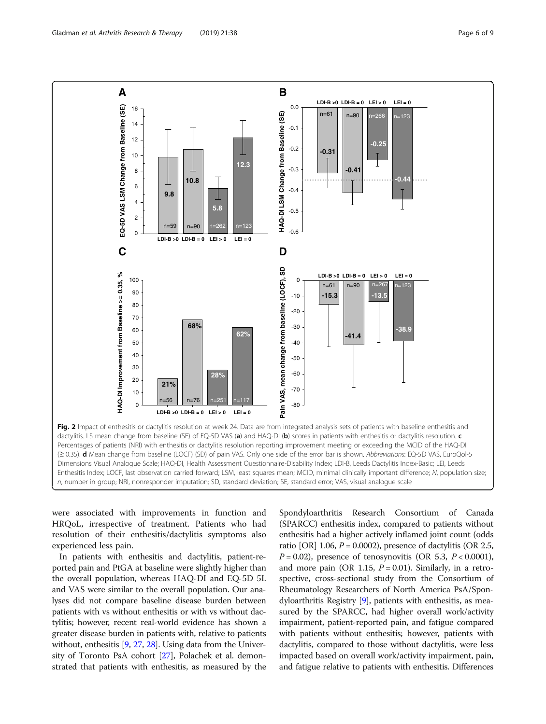<span id="page-5-0"></span>

were associated with improvements in function and HRQoL, irrespective of treatment. Patients who had resolution of their enthesitis/dactylitis symptoms also experienced less pain.

In patients with enthesitis and dactylitis, patient-reported pain and PtGA at baseline were slightly higher than the overall population, whereas HAQ-DI and EQ-5D 5L and VAS were similar to the overall population. Our analyses did not compare baseline disease burden between patients with vs without enthesitis or with vs without dactylitis; however, recent real-world evidence has shown a greater disease burden in patients with, relative to patients without, enthesitis [[9,](#page-7-0) [27](#page-8-0), [28](#page-8-0)]. Using data from the University of Toronto PsA cohort [\[27](#page-8-0)], Polachek et al. demonstrated that patients with enthesitis, as measured by the Spondyloarthritis Research Consortium of Canada (SPARCC) enthesitis index, compared to patients without enthesitis had a higher actively inflamed joint count (odds ratio [OR] 1.06,  $P = 0.0002$ ), presence of dactylitis (OR 2.5,  $P = 0.02$ ), presence of tenosynovitis (OR 5.3,  $P < 0.0001$ ), and more pain (OR 1.15,  $P = 0.01$ ). Similarly, in a retrospective, cross-sectional study from the Consortium of Rheumatology Researchers of North America PsA/Spondyloarthritis Registry [[9\]](#page-7-0), patients with enthesitis, as measured by the SPARCC, had higher overall work/activity impairment, patient-reported pain, and fatigue compared with patients without enthesitis; however, patients with dactylitis, compared to those without dactylitis, were less impacted based on overall work/activity impairment, pain, and fatigue relative to patients with enthesitis. Differences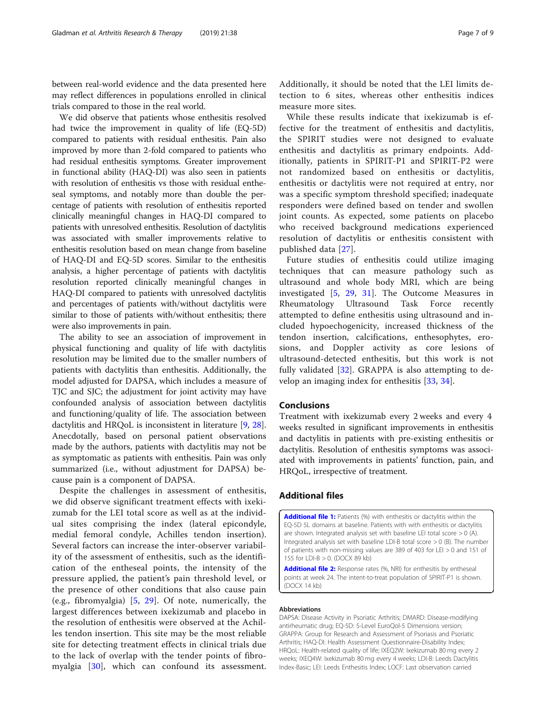<span id="page-6-0"></span>between real-world evidence and the data presented here may reflect differences in populations enrolled in clinical trials compared to those in the real world.

We did observe that patients whose enthesitis resolved had twice the improvement in quality of life (EQ-5D) compared to patients with residual enthesitis. Pain also improved by more than 2-fold compared to patients who had residual enthesitis symptoms. Greater improvement in functional ability (HAQ-DI) was also seen in patients with resolution of enthesitis vs those with residual entheseal symptoms, and notably more than double the percentage of patients with resolution of enthesitis reported clinically meaningful changes in HAQ-DI compared to patients with unresolved enthesitis. Resolution of dactylitis was associated with smaller improvements relative to enthesitis resolution based on mean change from baseline of HAQ-DI and EQ-5D scores. Similar to the enthesitis analysis, a higher percentage of patients with dactylitis resolution reported clinically meaningful changes in HAQ-DI compared to patients with unresolved dactylitis and percentages of patients with/without dactylitis were similar to those of patients with/without enthesitis; there were also improvements in pain.

The ability to see an association of improvement in physical functioning and quality of life with dactylitis resolution may be limited due to the smaller numbers of patients with dactylitis than enthesitis. Additionally, the model adjusted for DAPSA, which includes a measure of TJC and SJC; the adjustment for joint activity may have confounded analysis of association between dactylitis and functioning/quality of life. The association between dactylitis and HRQoL is inconsistent in literature [\[9](#page-7-0), [28](#page-8-0)]. Anecdotally, based on personal patient observations made by the authors, patients with dactylitis may not be as symptomatic as patients with enthesitis. Pain was only summarized (i.e., without adjustment for DAPSA) because pain is a component of DAPSA.

Despite the challenges in assessment of enthesitis, we did observe significant treatment effects with ixekizumab for the LEI total score as well as at the individual sites comprising the index (lateral epicondyle, medial femoral condyle, Achilles tendon insertion). Several factors can increase the inter-observer variability of the assessment of enthesitis, such as the identification of the entheseal points, the intensity of the pressure applied, the patient's pain threshold level, or the presence of other conditions that also cause pain (e.g., fibromyalgia) [\[5](#page-7-0), [29\]](#page-8-0). Of note, numerically, the largest differences between ixekizumab and placebo in the resolution of enthesitis were observed at the Achilles tendon insertion. This site may be the most reliable site for detecting treatment effects in clinical trials due to the lack of overlap with the tender points of fibromyalgia [[30\]](#page-8-0), which can confound its assessment. Additionally, it should be noted that the LEI limits detection to 6 sites, whereas other enthesitis indices measure more sites.

While these results indicate that ixekizumab is effective for the treatment of enthesitis and dactylitis, the SPIRIT studies were not designed to evaluate enthesitis and dactylitis as primary endpoints. Additionally, patients in SPIRIT-P1 and SPIRIT-P2 were not randomized based on enthesitis or dactylitis, enthesitis or dactylitis were not required at entry, nor was a specific symptom threshold specified; inadequate responders were defined based on tender and swollen joint counts. As expected, some patients on placebo who received background medications experienced resolution of dactylitis or enthesitis consistent with published data [[27\]](#page-8-0).

Future studies of enthesitis could utilize imaging techniques that can measure pathology such as ultrasound and whole body MRI, which are being investigated [[5,](#page-7-0) [29,](#page-8-0) [31](#page-8-0)]. The Outcome Measures in Rheumatology Ultrasound Task Force recently attempted to define enthesitis using ultrasound and included hypoechogenicity, increased thickness of the tendon insertion, calcifications, enthesophytes, erosions, and Doppler activity as core lesions of ultrasound-detected enthesitis, but this work is not fully validated [\[32](#page-8-0)]. GRAPPA is also attempting to develop an imaging index for enthesitis [[33,](#page-8-0) [34\]](#page-8-0).

# Conclusions

Treatment with ixekizumab every 2 weeks and every 4 weeks resulted in significant improvements in enthesitis and dactylitis in patients with pre-existing enthesitis or dactylitis. Resolution of enthesitis symptoms was associated with improvements in patients' function, pain, and HRQoL, irrespective of treatment.

# Additional files

[Additional file 1:](https://doi.org/10.1186/s13075-019-1831-0) Patients (%) with enthesitis or dactylitis within the EQ-5D 5L domains at baseline. Patients with with enthesitis or dactylitis are shown. Integrated analysis set with baseline LEI total score > 0 (A). Integrated analysis set with baseline LDI-B total score > 0 (B). The number of patients with non-missing values are 389 of 403 for LEI > 0 and 151 of 155 for LDI-B > 0. (DOCX 89 kb)

[Additional file 2:](https://doi.org/10.1186/s13075-019-1831-0) Response rates (%, NRI) for enthesitis by entheseal points at week 24. The intent-to-treat population of SPIRIT-P1 is shown. (DOCX 14 kb)

#### Abbreviations

DAPSA: Disease Activity in Psoriatic Arthritis; DMARD: Disease-modifying antirheumatic drug; EQ-5D: 5-Level EuroQol-5 Dimensions version; GRAPPA: Group for Research and Assessment of Psoriasis and Psoriatic Arthritis; HAQ-DI: Health Assessment Questionnaire-Disability Index; HRQoL: Health-related quality of life; IXEQ2W: Ixekizumab 80 mg every 2 weeks; IXEQ4W: Ixekizumab 80 mg every 4 weeks; LDI-B: Leeds Dactylitis Index-Basic; LEI: Leeds Enthesitis Index; LOCF: Last observation carried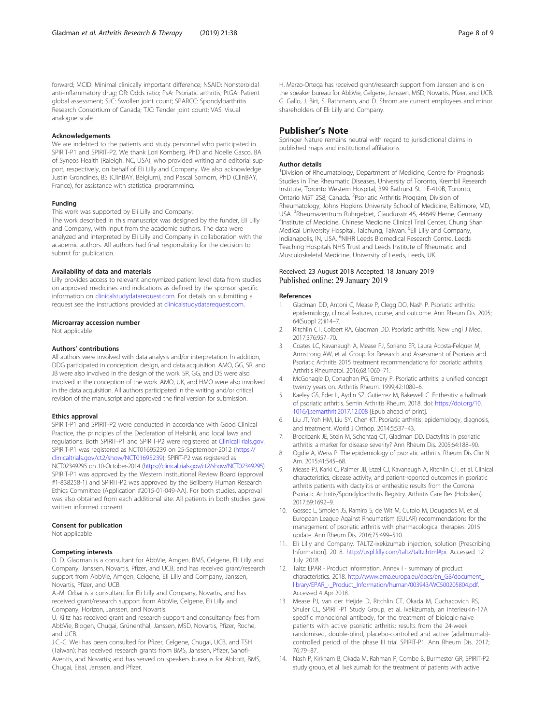<span id="page-7-0"></span>forward; MCID: Minimal clinically important difference; NSAID: Nonsteroidal anti-inflammatory drug; OR: Odds ratio; PsA: Psoriatic arthritis; PtGA: Patient global assessment; SJC: Swollen joint count; SPARCC: Spondyloarthritis Research Consortium of Canada; TJC: Tender joint count; VAS: Visual analogue scale

#### Acknowledgements

We are indebted to the patients and study personnel who participated in SPIRIT-P1 and SPIRIT-P2. We thank Lori Kornberg, PhD and Noelle Gasco, BA of Syneos Health (Raleigh, NC, USA), who provided writing and editorial support, respectively, on behalf of Eli Lilly and Company. We also acknowledge Justin Grondines, BS (ClinBAY, Belgium), and Pascal Sornom, PhD (ClinBAY, France), for assistance with statistical programming.

# Funding

This work was supported by Eli Lilly and Company.

The work described in this manuscript was designed by the funder, Eli Lilly and Company, with input from the academic authors. The data were analyzed and interpreted by Eli Lilly and Company in collaboration with the academic authors. All authors had final responsibility for the decision to submit for publication.

# Availability of data and materials

Lilly provides access to relevant anonymized patient level data from studies on approved medicines and indications as defined by the sponsor specific information on [clinicalstudydatarequest.com.](http://clinicalstudydatarequest.com) For details on submitting a request see the instructions provided at [clinicalstudydatarequest.com.](http://clinicalstudydatarequest.com)

#### Microarray accession number

Not applicable

#### Authors' contributions

All authors were involved with data analysis and/or interpretation. In addition, DDG participated in conception, design, and data acquisition. AMO, GG, SR, and JB were also involved in the design of the work. SR, GG, and DS were also involved in the conception of the work. AMO, UK, and HMO were also involved in the data acquisition. All authors participated in the writing and/or critical revision of the manuscript and approved the final version for submission.

#### Ethics approval

SPIRIT-P1 and SPIRIT-P2 were conducted in accordance with Good Clinical Practice, the principles of the Declaration of Helsinki, and local laws and regulations. Both SPIRIT-P1 and SPIRIT-P2 were registered at [ClinicalTrials.gov.](http://clinicaltrials.gov) SPIRIT-P1 was registered as NCT01695239 on 25-September-2012 [\(https://](https://clinicaltrials.gov/ct2/show/NCT01695239) [clinicaltrials.gov/ct2/show/NCT01695239](https://clinicaltrials.gov/ct2/show/NCT01695239)); SPIRIT-P2 was registered as NCT02349295 on 10-October-2014 [\(https://clinicaltrials.gov/ct2/show/NCT02349295\)](https://clinicaltrials.gov/ct2/show/NCT02349295). SPIRIT-P1 was approved by the Western Institutional Review Board (approval #1-838258-1) and SPIRIT-P2 was approved by the Bellberry Human Research Ethics Committee (Application #2015-01-049-AA). For both studies, approval was also obtained from each additional site. All patients in both studies gave written informed consent.

#### Consent for publication

Not applicable

#### Competing interests

D. D. Gladman is a consultant for AbbVie, Amgen, BMS, Celgene, Eli Lilly and Company, Janssen, Novartis, Pfizer, and UCB, and has received grant/research support from AbbVie, Amgen, Celgene, Eli Lilly and Company, Janssen, Novartis, Pfizer, and UCB.

A.-M. Orbai is a consultant for Eli Lilly and Company, Novartis, and has received grant/research support from AbbVie, Celgene, Eli Lilly and Company, Horizon, Janssen, and Novartis.

U. Kiltz has received grant and research support and consultancy fees from AbbVie, Biogen, Chugai, Grünenthal, Janssen, MSD, Novartis, Pfizer, Roche, and UCB.

J.C.-C. Wei has been consulted for Pfizer, Celgene, Chugai, UCB, and TSH (Taiwan); has received research grants from BMS, Janssen, Pfizer, Sanofi-Aventis, and Novartis; and has served on speakers bureaus for Abbott, BMS, Chugai, Eisai, Janssen, and Pfizer.

H. Marzo-Ortega has received grant/research support from Janssen and is on the speaker bureau for AbbVie, Celgene, Janssen, MSD, Novartis, Pfizer, and UCB. G. Gallo, J. Birt, S. Rathmann, and D. Shrom are current employees and minor shareholders of Eli Lilly and Company.

# Publisher's Note

Springer Nature remains neutral with regard to jurisdictional claims in published maps and institutional affiliations.

# Author details

<sup>1</sup> Division of Rheumatology, Department of Medicine, Centre for Prognosis Studies in The Rheumatic Diseases, University of Toronto, Krembil Research Institute, Toronto Western Hospital, 399 Bathurst St. 1E-410B, Toronto, Ontario M5T 2S8, Canada. <sup>2</sup> Psoriatic Arthritis Program, Division of Rheumatology, Johns Hopkins University School of Medicine, Baltimore, MD, USA. <sup>3</sup>Rheumazentrum Ruhrgebiet, Claudiusstr 45, 44649 Herne, Germany.<br><sup>4</sup>Institute of Medicine, Chinese Medicine Clinical Trial Center, Chung Shan <sup>4</sup>Institute of Medicine, Chinese Medicine Clinical Trial Center, Chung Shan Medical University Hospital, Taichung, Taiwan. <sup>5</sup>Eli Lilly and Company Indianapolis, IN, USA. <sup>6</sup>NIHR Leeds Biomedical Research Centre, Leeds Teaching Hospitals NHS Trust and Leeds Institute of Rheumatic and Musculoskeletal Medicine, University of Leeds, Leeds, UK.

#### Received: 23 August 2018 Accepted: 18 January 2019 Published online: 29 January 2019

#### References

- 1. Gladman DD, Antoni C, Mease P, Clegg DO, Nash P. Psoriatic arthritis: epidemiology, clinical features, course, and outcome. Ann Rheum Dis. 2005; 64(Suppl 2):ii14–7.
- 2. Ritchlin CT, Colbert RA, Gladman DD. Psoriatic arthritis. New Engl J Med. 2017;376:957–70.
- 3. Coates LC, Kavanaugh A, Mease PJ, Soriano ER, Laura Acosta-Felquer M, Armstrong AW, et al. Group for Research and Assessment of Psoriasis and Psoriatic Arthritis 2015 treatment recommendations for psoriatic arthritis. Arthritis Rheumatol. 2016;68:1060–71.
- 4. McGonagle D, Conaghan PG, Emery P. Psoriatic arthritis: a unified concept twenty years on. Arthritis Rheum. 1999;42:1080–6.
- 5. Kaeley GS, Eder L, Aydin SZ, Gutierrez M, Bakewell C. Enthesitis: a hallmark of psoriatic arthritis. Semin Arthritis Rheum. 2018. doi: [https://doi.org/10.](https://doi.org/10.1016/j.semarthrit.2017.12.008) [1016/j.semarthrit.2017.12.008](https://doi.org/10.1016/j.semarthrit.2017.12.008) [Epub ahead of print].
- Liu JT, Yeh HM, Liu SY, Chen KT. Psoriatic arthritis: epidemiology, diagnosis, and treatment. World J Orthop. 2014;5:537–43.
- 7. Brockbank JE, Stein M, Schentag CT, Gladman DD. Dactylitis in psoriatic arthritis: a marker for disease severity? Ann Rheum Dis. 2005;64:188–90.
- 8. Ogdie A, Weiss P. The epidemiology of psoriatic arthritis. Rheum Dis Clin N Am. 2015;41:545–68.
- 9. Mease PJ, Karki C, Palmer JB, Etzel CJ, Kavanaugh A, Ritchlin CT, et al. Clinical characteristics, disease activity, and patient-reported outcomes in psoriatic arthritis patients with dactylitis or enthesitis: results from the Corrona Psoriatic Arthritis/Spondyloarthritis Registry. Arthritis Care Res (Hoboken). 2017;69:1692–9.
- 10. Gossec L, Smolen JS, Ramiro S, de Wit M, Cutolo M, Dougados M, et al. European League Against Rheumatism (EULAR) recommendations for the management of psoriatic arthritis with pharmacological therapies: 2015 update. Ann Rheum Dis. 2016;75:499–510.
- 11. Eli Lilly and Company. TALTZ-ixekizumab injection, solution [Prescribing Information]. 2018. <http://uspl.lilly.com/taltz/taltz.html#pi>. Accessed 12 July 2018.
- 12. Taltz: EPAR Product Information. Annex I summary of product characteristics. 2018. [http://www.ema.europa.eu/docs/en\\_GB/document\\_](http://www.ema.europa.eu/docs/en_GB/document_library/EPAR_-_Product_Information/human/003943/WC500205804.pdf) [library/EPAR\\_-\\_Product\\_Information/human/003943/WC500205804.pdf.](http://www.ema.europa.eu/docs/en_GB/document_library/EPAR_-_Product_Information/human/003943/WC500205804.pdf) Accessed 4 Apr 2018.
- 13. Mease PJ, van der Heijde D, Ritchlin CT, Okada M, Cuchacovich RS, Shuler CL, SPIRIT-P1 Study Group, et al. Ixekizumab, an interleukin-17A specific monoclonal antibody, for the treatment of biologic-naive patients with active psoriatic arthritis: results from the 24-week randomised, double-blind, placebo-controlled and active (adalimumab) controlled period of the phase III trial SPIRIT-P1. Ann Rheum Dis. 2017; 76:79–87.
- 14. Nash P, Kirkham B, Okada M, Rahman P, Combe B, Burmester GR, SPIRIT-P2 study group, et al. Ixekizumab for the treatment of patients with active